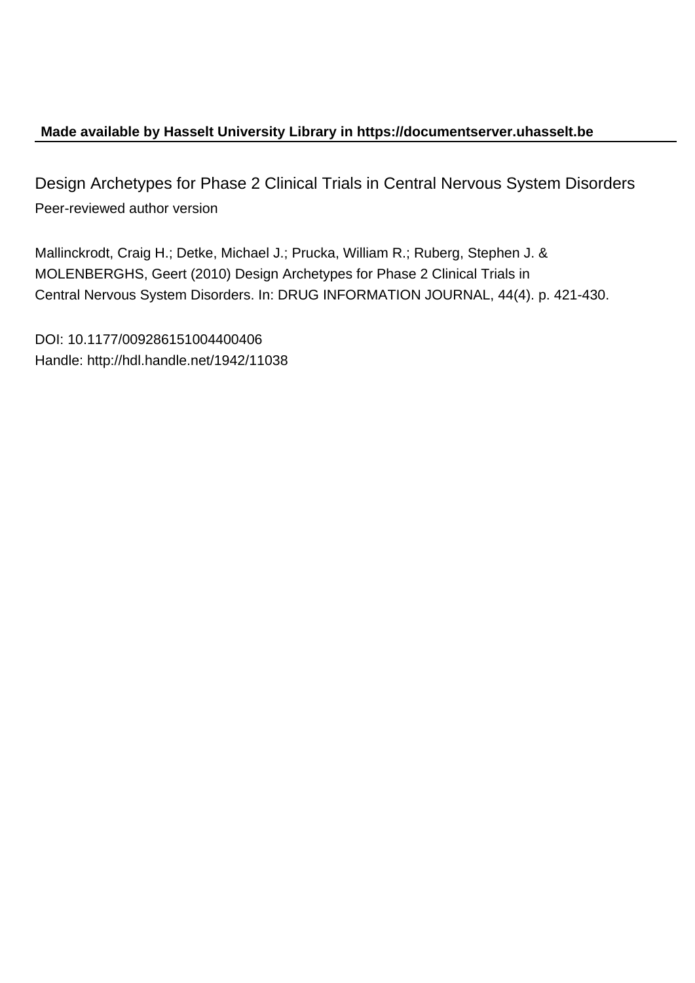# **Made available by Hasselt University Library in https://documentserver.uhasselt.be**

Design Archetypes for Phase 2 Clinical Trials in Central Nervous System Disorders Peer-reviewed author version

Mallinckrodt, Craig H.; Detke, Michael J.; Prucka, William R.; Ruberg, Stephen J. & MOLENBERGHS, Geert (2010) Design Archetypes for Phase 2 Clinical Trials in Central Nervous System Disorders. In: DRUG INFORMATION JOURNAL, 44(4). p. 421-430.

DOI: 10.1177/009286151004400406 Handle: http://hdl.handle.net/1942/11038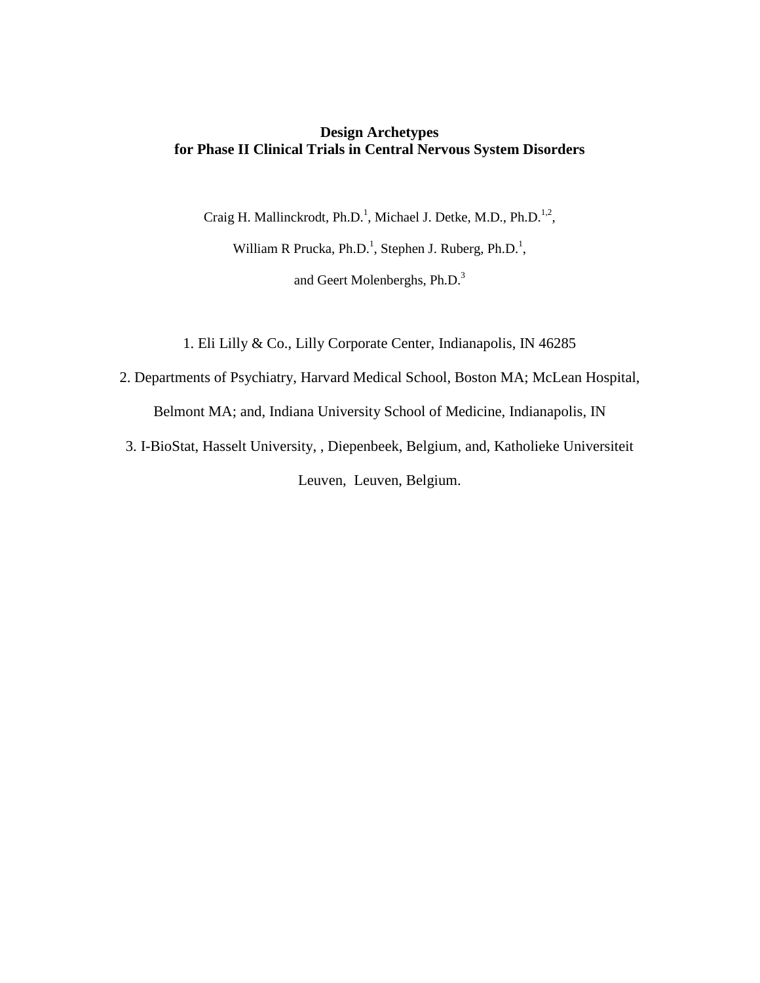## **Design Archetypes for Phase II Clinical Trials in Central Nervous System Disorders**

Craig H. Mallinckrodt, Ph.D.<sup>1</sup>, Michael J. Detke, M.D., Ph.D.<sup>1,2</sup>,

William R Prucka, Ph.D.<sup>1</sup>, Stephen J. Ruberg, Ph.D.<sup>1</sup>,

and Geert Molenberghs, Ph.D.<sup>3</sup>

1. Eli Lilly & Co., Lilly Corporate Center, Indianapolis, IN 46285

2. Departments of Psychiatry, Harvard Medical School, Boston MA; McLean Hospital,

Belmont MA; and, Indiana University School of Medicine, Indianapolis, IN

3. I-BioStat, Hasselt University, , Diepenbeek, Belgium, and, Katholieke Universiteit Leuven, Leuven, Belgium.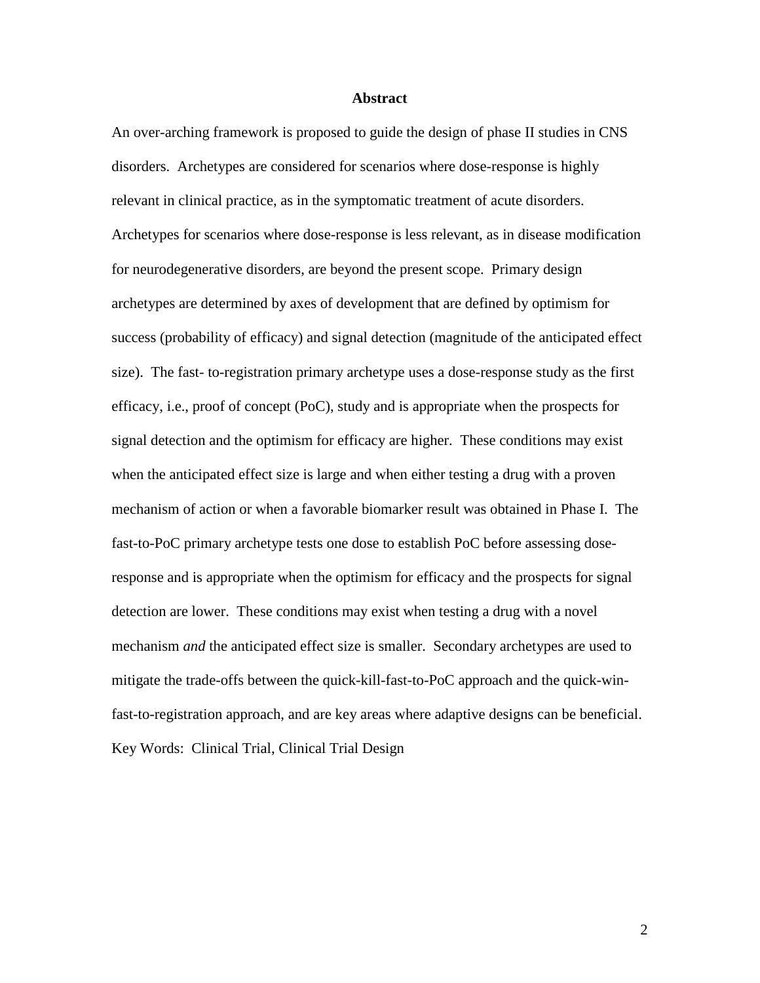### **Abstract**

An over-arching framework is proposed to guide the design of phase II studies in CNS disorders. Archetypes are considered for scenarios where dose-response is highly relevant in clinical practice, as in the symptomatic treatment of acute disorders. Archetypes for scenarios where dose-response is less relevant, as in disease modification for neurodegenerative disorders, are beyond the present scope. Primary design archetypes are determined by axes of development that are defined by optimism for success (probability of efficacy) and signal detection (magnitude of the anticipated effect size). The fast- to-registration primary archetype uses a dose-response study as the first efficacy, i.e., proof of concept (PoC), study and is appropriate when the prospects for signal detection and the optimism for efficacy are higher. These conditions may exist when the anticipated effect size is large and when either testing a drug with a proven mechanism of action or when a favorable biomarker result was obtained in Phase I. The fast-to-PoC primary archetype tests one dose to establish PoC before assessing doseresponse and is appropriate when the optimism for efficacy and the prospects for signal detection are lower. These conditions may exist when testing a drug with a novel mechanism *and* the anticipated effect size is smaller. Secondary archetypes are used to mitigate the trade-offs between the quick-kill-fast-to-PoC approach and the quick-winfast-to-registration approach, and are key areas where adaptive designs can be beneficial. Key Words: Clinical Trial, Clinical Trial Design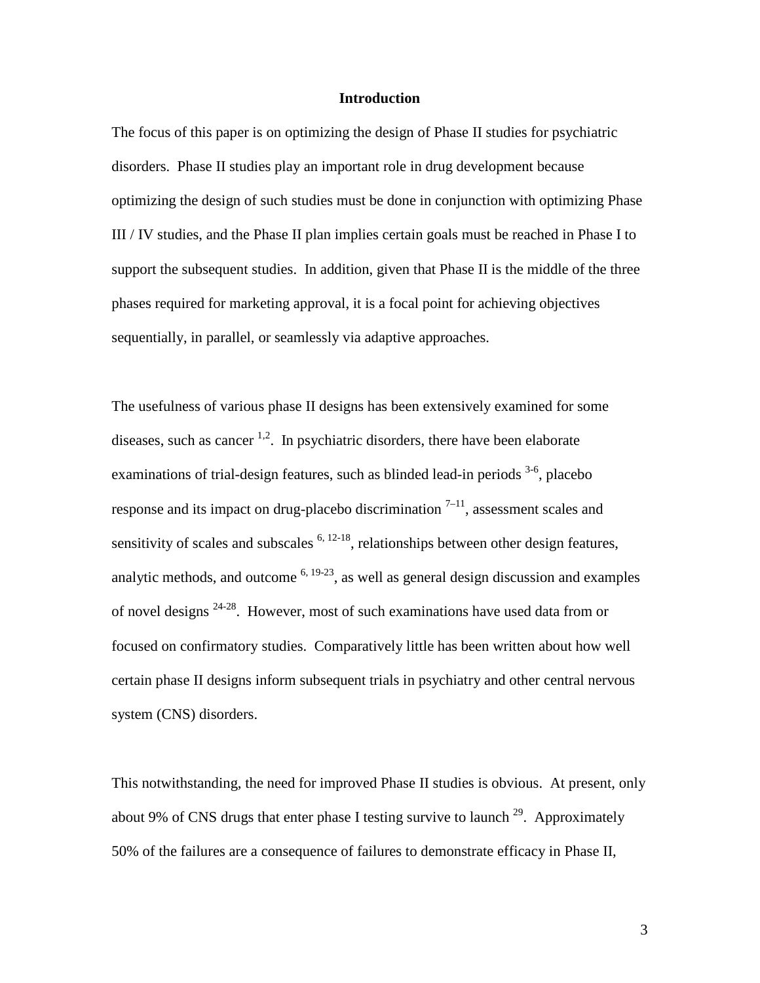### **Introduction**

The focus of this paper is on optimizing the design of Phase II studies for psychiatric disorders. Phase II studies play an important role in drug development because optimizing the design of such studies must be done in conjunction with optimizing Phase III / IV studies, and the Phase II plan implies certain goals must be reached in Phase I to support the subsequent studies. In addition, given that Phase II is the middle of the three phases required for marketing approval, it is a focal point for achieving objectives sequentially, in parallel, or seamlessly via adaptive approaches.

The usefulness of various phase II designs has been extensively examined for some diseases, such as cancer  $1,2$ . In psychiatric disorders, there have been elaborate examinations of trial-design features, such as blinded lead-in periods <sup>3-6</sup>, placebo response and its impact on drug-placebo discrimination  $7-11$ , assessment scales and sensitivity of scales and subscales  $6, 12-18$ , relationships between other design features, analytic methods, and outcome  $6, 19-23$ , as well as general design discussion and examples of novel designs <sup>24-28</sup>. However, most of such examinations have used data from or focused on confirmatory studies. Comparatively little has been written about how well certain phase II designs inform subsequent trials in psychiatry and other central nervous system (CNS) disorders.

This notwithstanding, the need for improved Phase II studies is obvious. At present, only about 9% of CNS drugs that enter phase I testing survive to launch  $29$ . Approximately 50% of the failures are a consequence of failures to demonstrate efficacy in Phase II,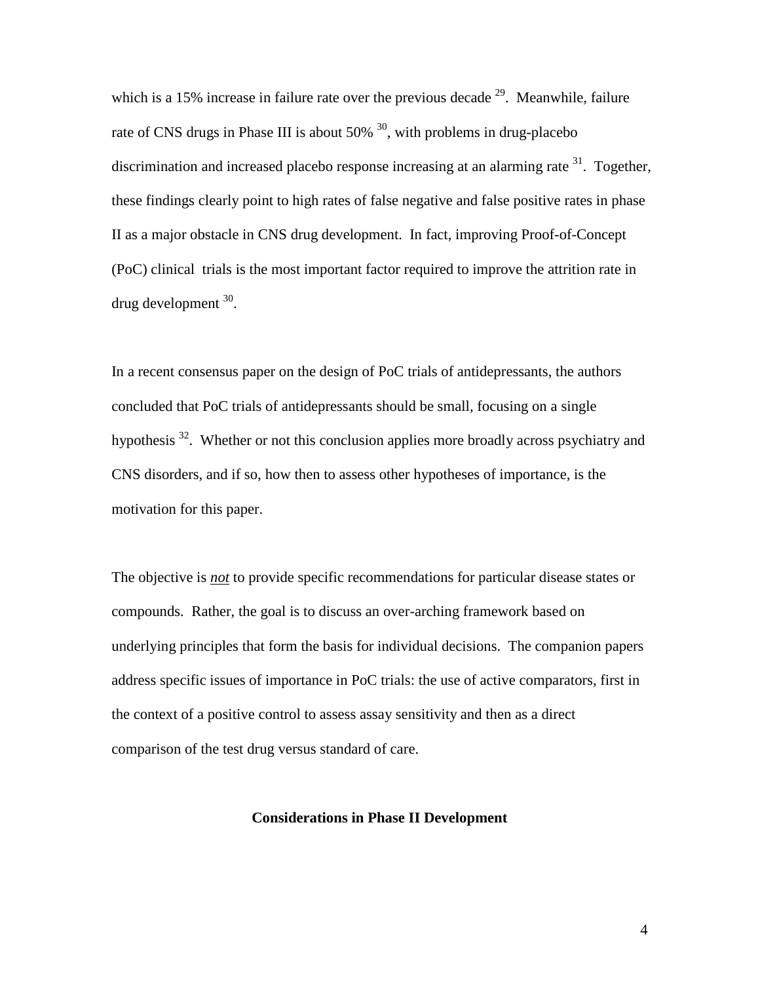which is a 15% increase in failure rate over the previous decade  $^{29}$ . Meanwhile, failure rate of CNS drugs in Phase III is about  $50\%$ <sup>30</sup>, with problems in drug-placebo discrimination and increased placebo response increasing at an alarming rate  $31$ . Together, these findings clearly point to high rates of false negative and false positive rates in phase II as a major obstacle in CNS drug development. In fact, improving Proof-of-Concept (PoC) clinical trials is the most important factor required to improve the attrition rate in drug development  $30$ .

In a recent consensus paper on the design of PoC trials of antidepressants, the authors concluded that PoC trials of antidepressants should be small, focusing on a single hypothesis  $32$ . Whether or not this conclusion applies more broadly across psychiatry and CNS disorders, and if so, how then to assess other hypotheses of importance, is the motivation for this paper.

The objective is *not* to provide specific recommendations for particular disease states or compounds. Rather, the goal is to discuss an over-arching framework based on underlying principles that form the basis for individual decisions. The companion papers address specific issues of importance in PoC trials: the use of active comparators, first in the context of a positive control to assess assay sensitivity and then as a direct comparison of the test drug versus standard of care.

### **Considerations in Phase II Development**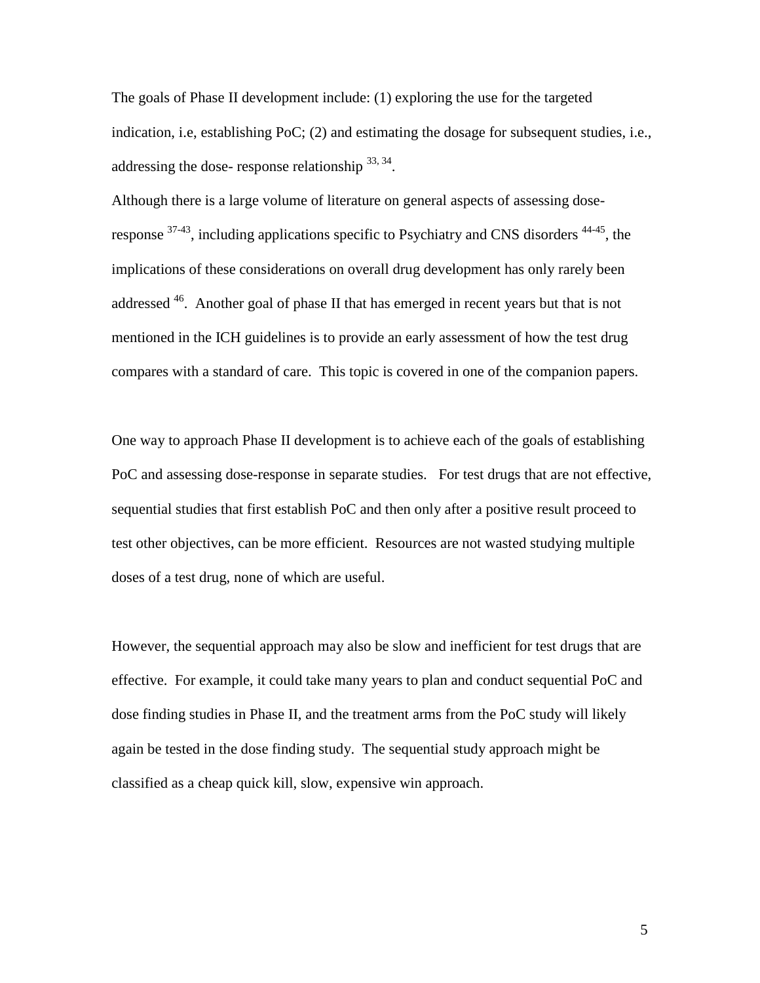The goals of Phase II development include: (1) exploring the use for the targeted indication, i.e, establishing PoC; (2) and estimating the dosage for subsequent studies, i.e., addressing the dose-response relationship  $^{33,34}$ .

Although there is a large volume of literature on general aspects of assessing doseresponse  $37-43$ , including applications specific to Psychiatry and CNS disorders  $44-45$ , the implications of these considerations on overall drug development has only rarely been addressed 46. Another goal of phase II that has emerged in recent years but that is not mentioned in the ICH guidelines is to provide an early assessment of how the test drug compares with a standard of care. This topic is covered in one of the companion papers.

One way to approach Phase II development is to achieve each of the goals of establishing PoC and assessing dose-response in separate studies. For test drugs that are not effective, sequential studies that first establish PoC and then only after a positive result proceed to test other objectives, can be more efficient. Resources are not wasted studying multiple doses of a test drug, none of which are useful.

However, the sequential approach may also be slow and inefficient for test drugs that are effective. For example, it could take many years to plan and conduct sequential PoC and dose finding studies in Phase II, and the treatment arms from the PoC study will likely again be tested in the dose finding study. The sequential study approach might be classified as a cheap quick kill, slow, expensive win approach.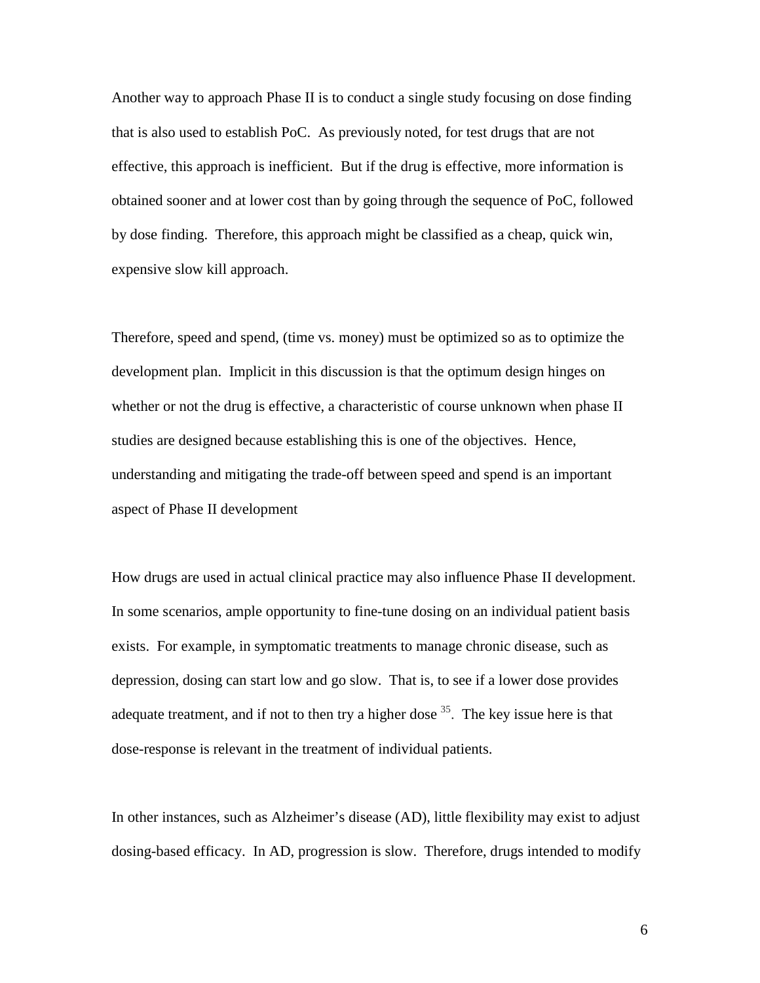Another way to approach Phase II is to conduct a single study focusing on dose finding that is also used to establish PoC. As previously noted, for test drugs that are not effective, this approach is inefficient. But if the drug is effective, more information is obtained sooner and at lower cost than by going through the sequence of PoC, followed by dose finding. Therefore, this approach might be classified as a cheap, quick win, expensive slow kill approach.

Therefore, speed and spend, (time vs. money) must be optimized so as to optimize the development plan. Implicit in this discussion is that the optimum design hinges on whether or not the drug is effective, a characteristic of course unknown when phase II studies are designed because establishing this is one of the objectives. Hence, understanding and mitigating the trade-off between speed and spend is an important aspect of Phase II development

How drugs are used in actual clinical practice may also influence Phase II development. In some scenarios, ample opportunity to fine-tune dosing on an individual patient basis exists. For example, in symptomatic treatments to manage chronic disease, such as depression, dosing can start low and go slow. That is, to see if a lower dose provides adequate treatment, and if not to then try a higher dose  $35$ . The key issue here is that dose-response is relevant in the treatment of individual patients.

In other instances, such as Alzheimer's disease (AD), little flexibility may exist to adjust dosing-based efficacy. In AD, progression is slow. Therefore, drugs intended to modify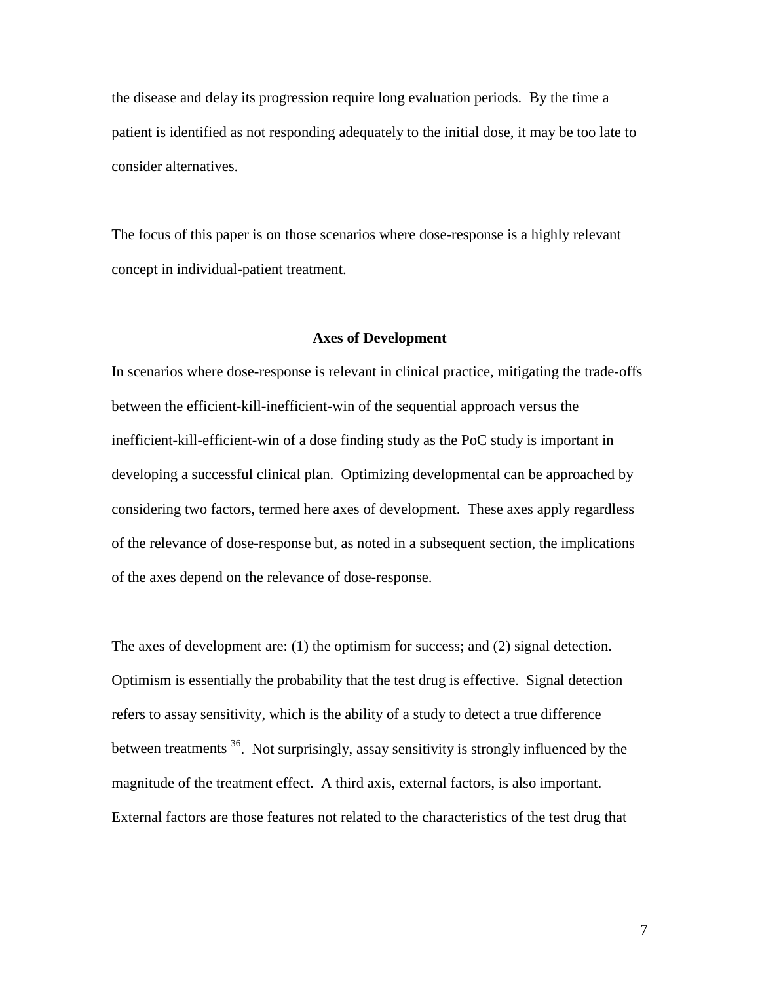the disease and delay its progression require long evaluation periods. By the time a patient is identified as not responding adequately to the initial dose, it may be too late to consider alternatives.

The focus of this paper is on those scenarios where dose-response is a highly relevant concept in individual-patient treatment.

### **Axes of Development**

In scenarios where dose-response is relevant in clinical practice, mitigating the trade-offs between the efficient-kill-inefficient-win of the sequential approach versus the inefficient-kill-efficient-win of a dose finding study as the PoC study is important in developing a successful clinical plan. Optimizing developmental can be approached by considering two factors, termed here axes of development. These axes apply regardless of the relevance of dose-response but, as noted in a subsequent section, the implications of the axes depend on the relevance of dose-response.

The axes of development are: (1) the optimism for success; and (2) signal detection. Optimism is essentially the probability that the test drug is effective. Signal detection refers to assay sensitivity, which is the ability of a study to detect a true difference between treatments <sup>36</sup>. Not surprisingly, assay sensitivity is strongly influenced by the magnitude of the treatment effect. A third axis, external factors, is also important. External factors are those features not related to the characteristics of the test drug that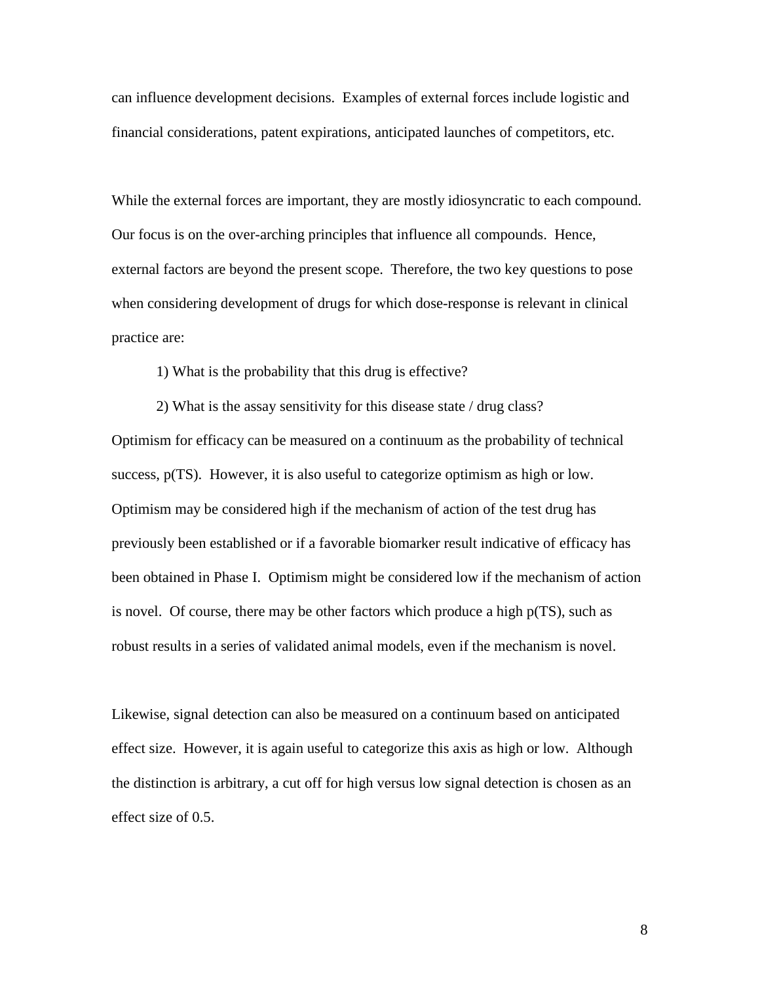can influence development decisions. Examples of external forces include logistic and financial considerations, patent expirations, anticipated launches of competitors, etc.

While the external forces are important, they are mostly idiosyncratic to each compound. Our focus is on the over-arching principles that influence all compounds. Hence, external factors are beyond the present scope. Therefore, the two key questions to pose when considering development of drugs for which dose-response is relevant in clinical practice are:

1) What is the probability that this drug is effective?

2) What is the assay sensitivity for this disease state / drug class? Optimism for efficacy can be measured on a continuum as the probability of technical success, p(TS). However, it is also useful to categorize optimism as high or low. Optimism may be considered high if the mechanism of action of the test drug has previously been established or if a favorable biomarker result indicative of efficacy has been obtained in Phase I. Optimism might be considered low if the mechanism of action is novel. Of course, there may be other factors which produce a high p(TS), such as robust results in a series of validated animal models, even if the mechanism is novel.

Likewise, signal detection can also be measured on a continuum based on anticipated effect size. However, it is again useful to categorize this axis as high or low. Although the distinction is arbitrary, a cut off for high versus low signal detection is chosen as an effect size of 0.5.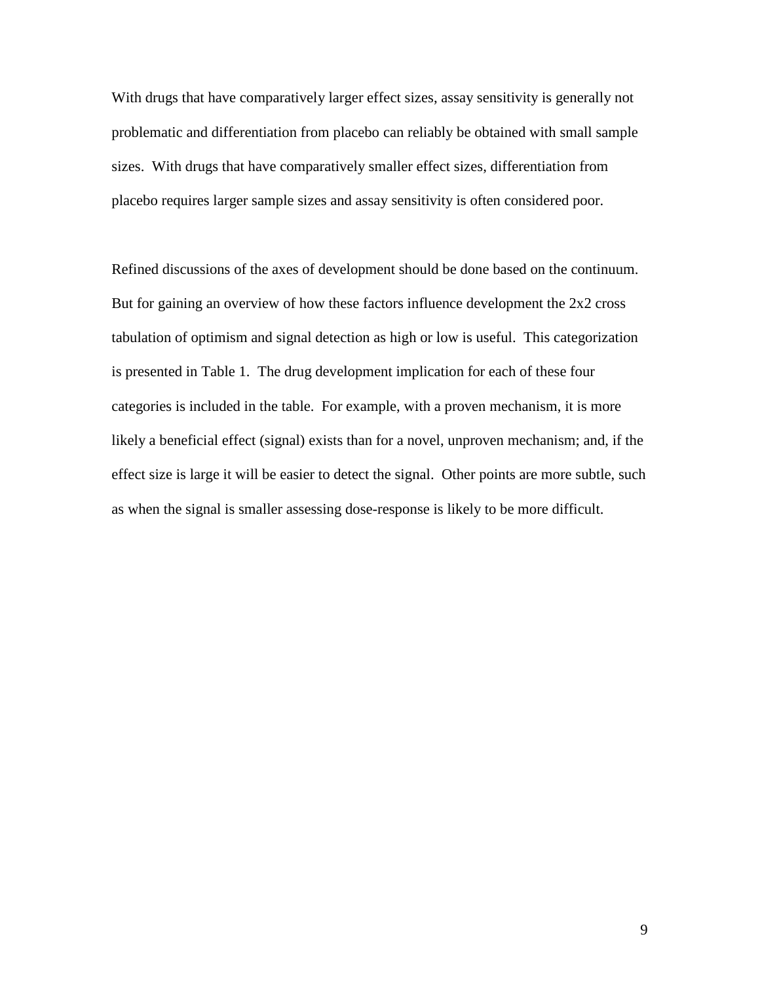With drugs that have comparatively larger effect sizes, assay sensitivity is generally not problematic and differentiation from placebo can reliably be obtained with small sample sizes. With drugs that have comparatively smaller effect sizes, differentiation from placebo requires larger sample sizes and assay sensitivity is often considered poor.

Refined discussions of the axes of development should be done based on the continuum. But for gaining an overview of how these factors influence development the 2x2 cross tabulation of optimism and signal detection as high or low is useful. This categorization is presented in Table 1. The drug development implication for each of these four categories is included in the table. For example, with a proven mechanism, it is more likely a beneficial effect (signal) exists than for a novel, unproven mechanism; and, if the effect size is large it will be easier to detect the signal. Other points are more subtle, such as when the signal is smaller assessing dose-response is likely to be more difficult.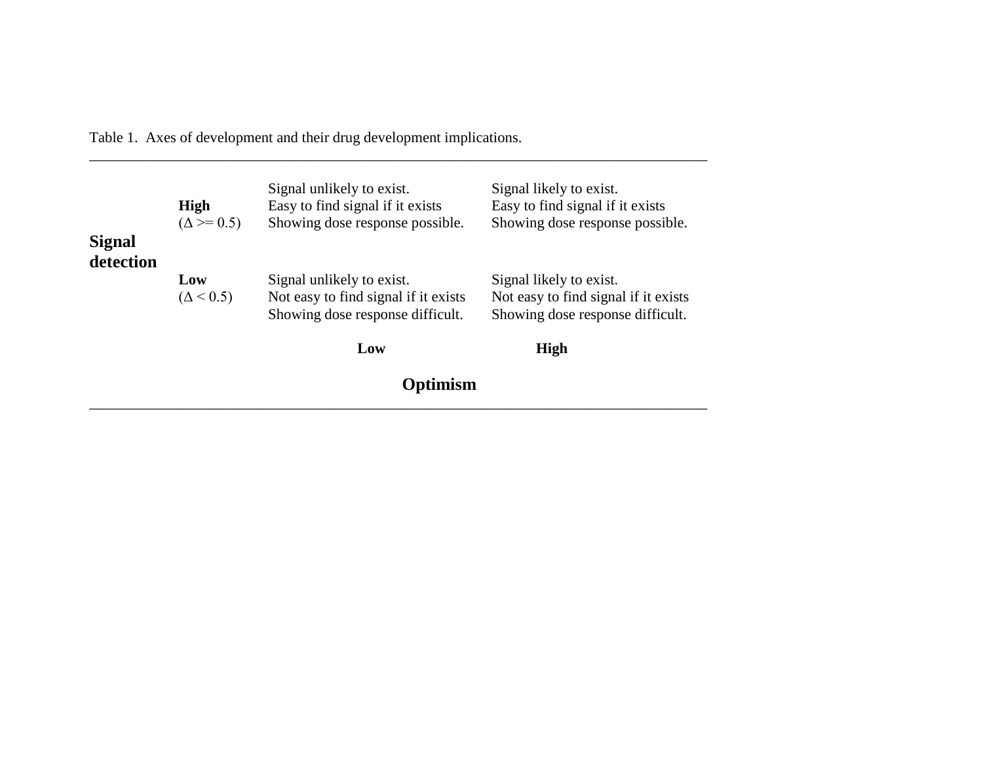Table 1. Axes of development and their drug development implications.

| <b>Signal</b> | High<br>$(\Delta \ge 0.5)$ | Signal unlikely to exist.<br>Easy to find signal if it exists<br>Showing dose response possible.      | Signal likely to exist.<br>Easy to find signal if it exists<br>Showing dose response possible.      |
|---------------|----------------------------|-------------------------------------------------------------------------------------------------------|-----------------------------------------------------------------------------------------------------|
| detection     | Low<br>$(\Delta < 0.5)$    | Signal unlikely to exist.<br>Not easy to find signal if it exists<br>Showing dose response difficult. | Signal likely to exist.<br>Not easy to find signal if it exists<br>Showing dose response difficult. |
|               |                            | Low                                                                                                   | High                                                                                                |
|               |                            | Optimism                                                                                              |                                                                                                     |

\_\_\_\_\_\_\_\_\_\_\_\_\_\_\_\_\_\_\_\_\_\_\_\_\_\_\_\_\_\_\_\_\_\_\_\_\_\_\_\_\_\_\_\_\_\_\_\_\_\_\_\_\_\_\_\_\_\_\_\_\_\_\_\_\_\_\_\_\_\_\_\_\_\_\_\_\_\_\_\_\_\_\_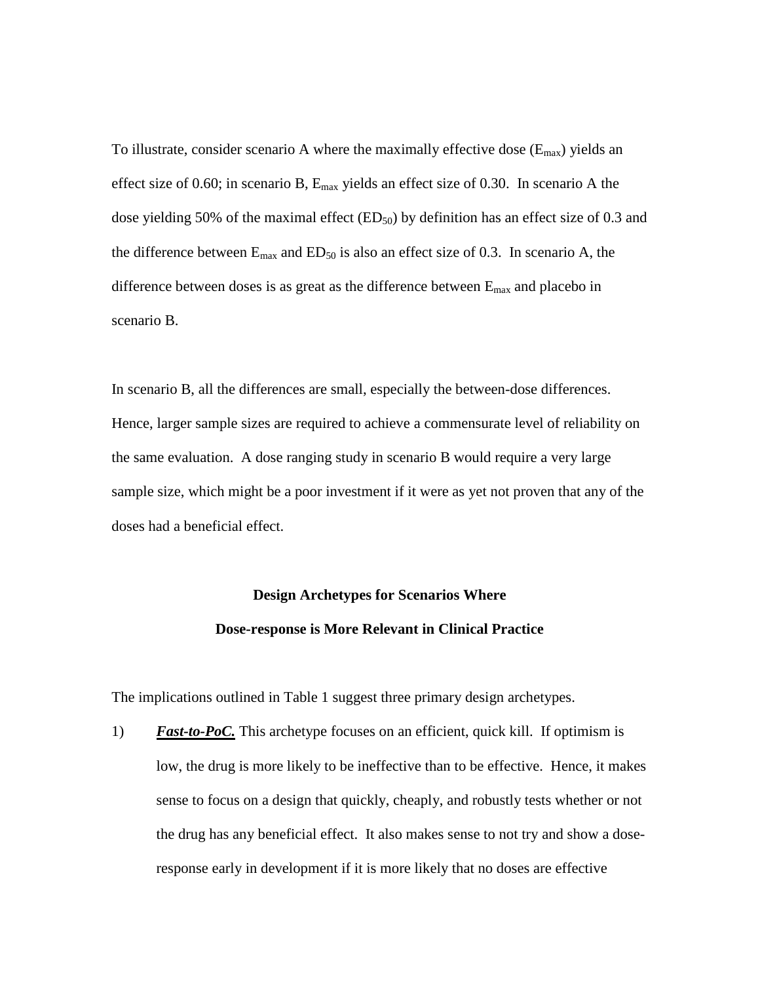To illustrate, consider scenario A where the maximally effective dose  $(E_{max})$  yields an effect size of 0.60; in scenario B,  $E_{\text{max}}$  yields an effect size of 0.30. In scenario A the dose yielding 50% of the maximal effect  $(ED_{50})$  by definition has an effect size of 0.3 and the difference between  $E_{\text{max}}$  and  $ED_{50}$  is also an effect size of 0.3. In scenario A, the difference between doses is as great as the difference between  $E_{\text{max}}$  and placebo in scenario B.

In scenario B, all the differences are small, especially the between-dose differences. Hence, larger sample sizes are required to achieve a commensurate level of reliability on the same evaluation. A dose ranging study in scenario B would require a very large sample size, which might be a poor investment if it were as yet not proven that any of the doses had a beneficial effect.

# **Design Archetypes for Scenarios Where Dose-response is More Relevant in Clinical Practice**

The implications outlined in Table 1 suggest three primary design archetypes.

1) *Fast-to-PoC*. This archetype focuses on an efficient, quick kill. If optimism is low, the drug is more likely to be ineffective than to be effective. Hence, it makes sense to focus on a design that quickly, cheaply, and robustly tests whether or not the drug has any beneficial effect. It also makes sense to not try and show a doseresponse early in development if it is more likely that no doses are effective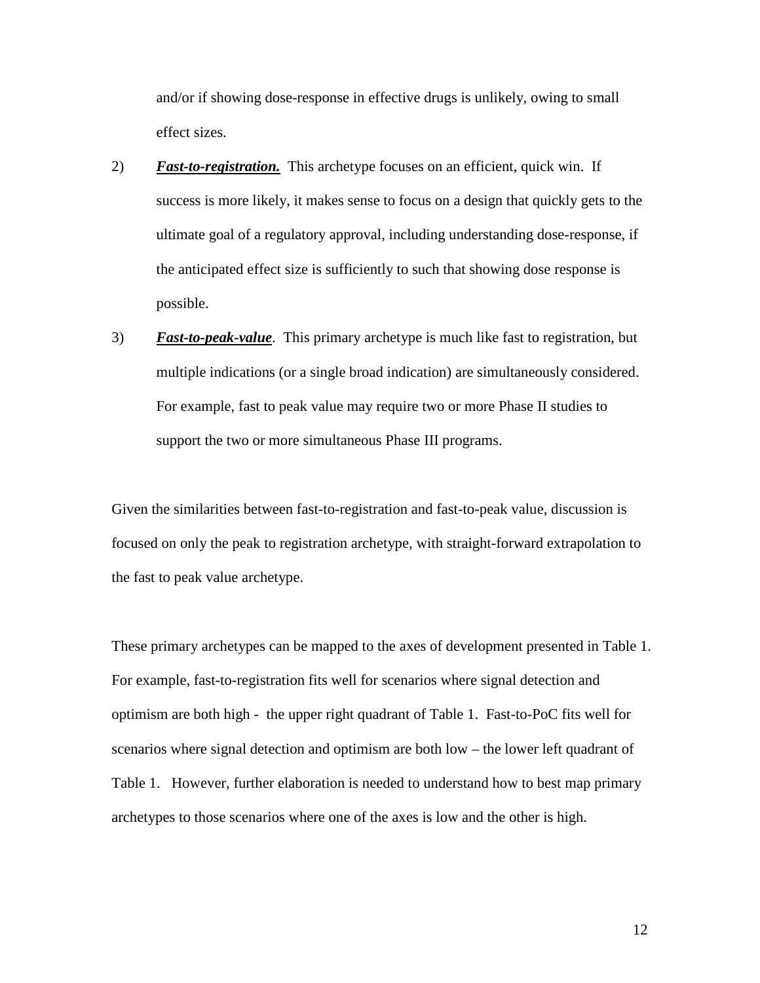and/or if showing dose-response in effective drugs is unlikely, owing to small effect sizes.

- 2) *Fast-to-registration.* This archetype focuses on an efficient, quick win. If success is more likely, it makes sense to focus on a design that quickly gets to the ultimate goal of a regulatory approval, including understanding dose-response, if the anticipated effect size is sufficiently to such that showing dose response is possible.
- 3) *Fast-to-peak-value*. This primary archetype is much like fast to registration, but multiple indications (or a single broad indication) are simultaneously considered. For example, fast to peak value may require two or more Phase II studies to support the two or more simultaneous Phase III programs.

Given the similarities between fast-to-registration and fast-to-peak value, discussion is focused on only the peak to registration archetype, with straight-forward extrapolation to the fast to peak value archetype.

These primary archetypes can be mapped to the axes of development presented in Table 1. For example, fast-to-registration fits well for scenarios where signal detection and optimism are both high - the upper right quadrant of Table 1. Fast-to-PoC fits well for scenarios where signal detection and optimism are both low – the lower left quadrant of Table 1. However, further elaboration is needed to understand how to best map primary archetypes to those scenarios where one of the axes is low and the other is high.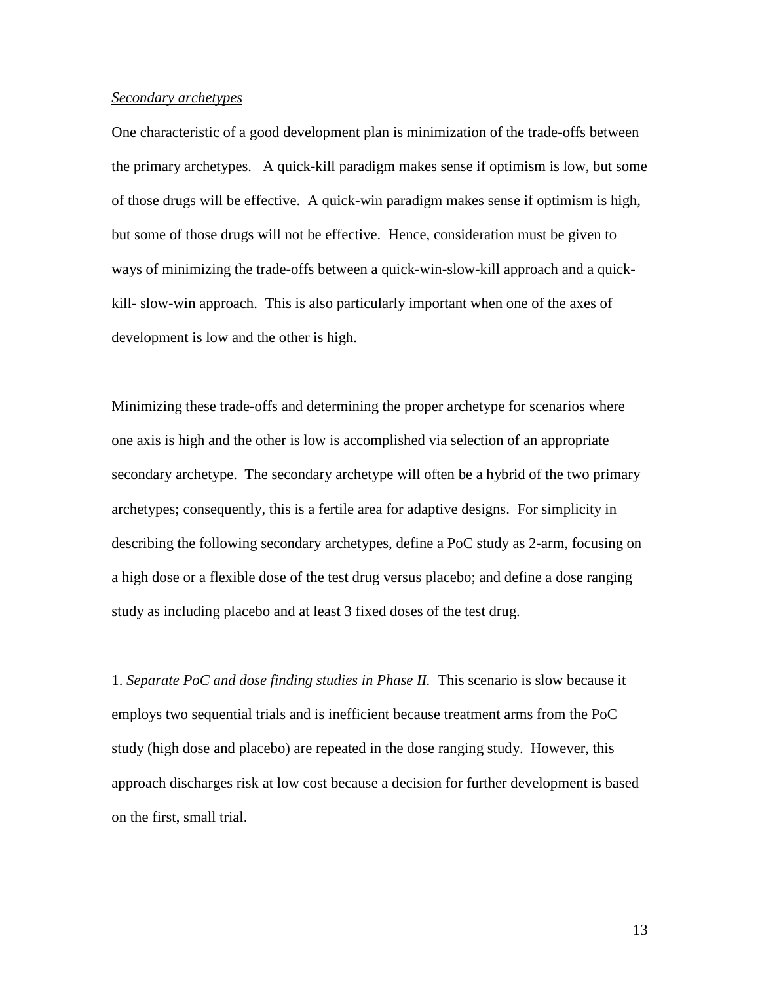### *Secondary archetypes*

One characteristic of a good development plan is minimization of the trade-offs between the primary archetypes. A quick-kill paradigm makes sense if optimism is low, but some of those drugs will be effective. A quick-win paradigm makes sense if optimism is high, but some of those drugs will not be effective. Hence, consideration must be given to ways of minimizing the trade-offs between a quick-win-slow-kill approach and a quickkill- slow-win approach. This is also particularly important when one of the axes of development is low and the other is high.

Minimizing these trade-offs and determining the proper archetype for scenarios where one axis is high and the other is low is accomplished via selection of an appropriate secondary archetype. The secondary archetype will often be a hybrid of the two primary archetypes; consequently, this is a fertile area for adaptive designs. For simplicity in describing the following secondary archetypes, define a PoC study as 2-arm, focusing on a high dose or a flexible dose of the test drug versus placebo; and define a dose ranging study as including placebo and at least 3 fixed doses of the test drug.

1. *Separate PoC and dose finding studies in Phase II.* This scenario is slow because it employs two sequential trials and is inefficient because treatment arms from the PoC study (high dose and placebo) are repeated in the dose ranging study. However, this approach discharges risk at low cost because a decision for further development is based on the first, small trial.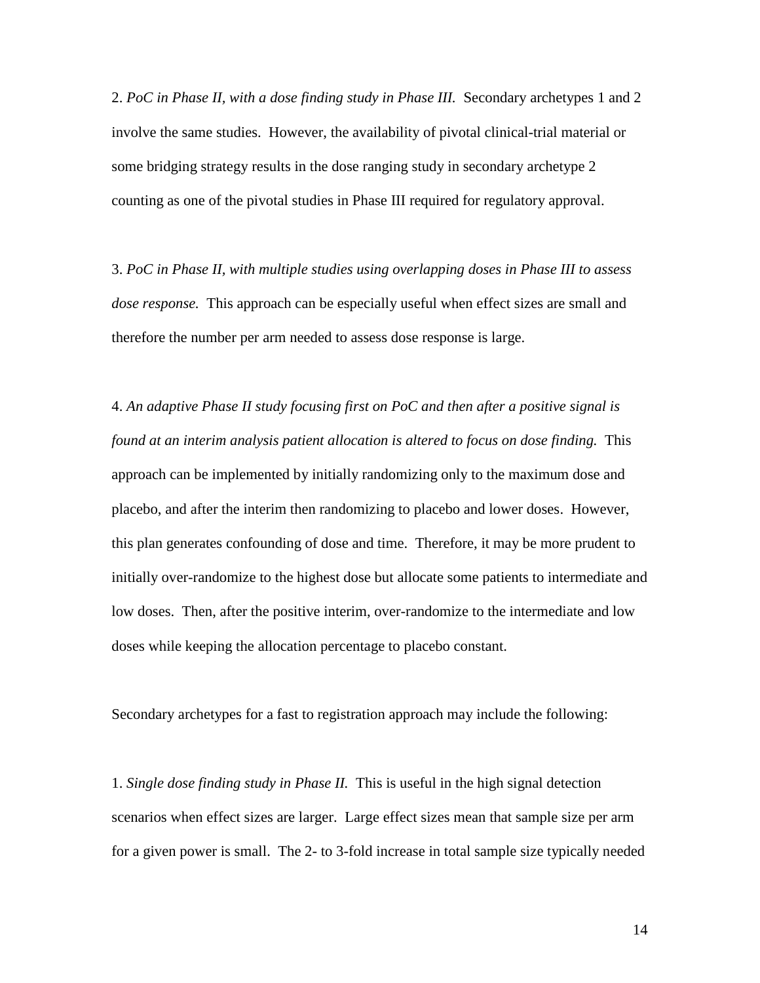2. *PoC in Phase II, with a dose finding study in Phase III.* Secondary archetypes 1 and 2 involve the same studies. However, the availability of pivotal clinical-trial material or some bridging strategy results in the dose ranging study in secondary archetype 2 counting as one of the pivotal studies in Phase III required for regulatory approval.

3. *PoC in Phase II, with multiple studies using overlapping doses in Phase III to assess dose response.* This approach can be especially useful when effect sizes are small and therefore the number per arm needed to assess dose response is large.

4. *An adaptive Phase II study focusing first on PoC and then after a positive signal is found at an interim analysis patient allocation is altered to focus on dose finding.* This approach can be implemented by initially randomizing only to the maximum dose and placebo, and after the interim then randomizing to placebo and lower doses. However, this plan generates confounding of dose and time. Therefore, it may be more prudent to initially over-randomize to the highest dose but allocate some patients to intermediate and low doses. Then, after the positive interim, over-randomize to the intermediate and low doses while keeping the allocation percentage to placebo constant.

Secondary archetypes for a fast to registration approach may include the following:

1. *Single dose finding study in Phase II.* This is useful in the high signal detection scenarios when effect sizes are larger. Large effect sizes mean that sample size per arm for a given power is small. The 2- to 3-fold increase in total sample size typically needed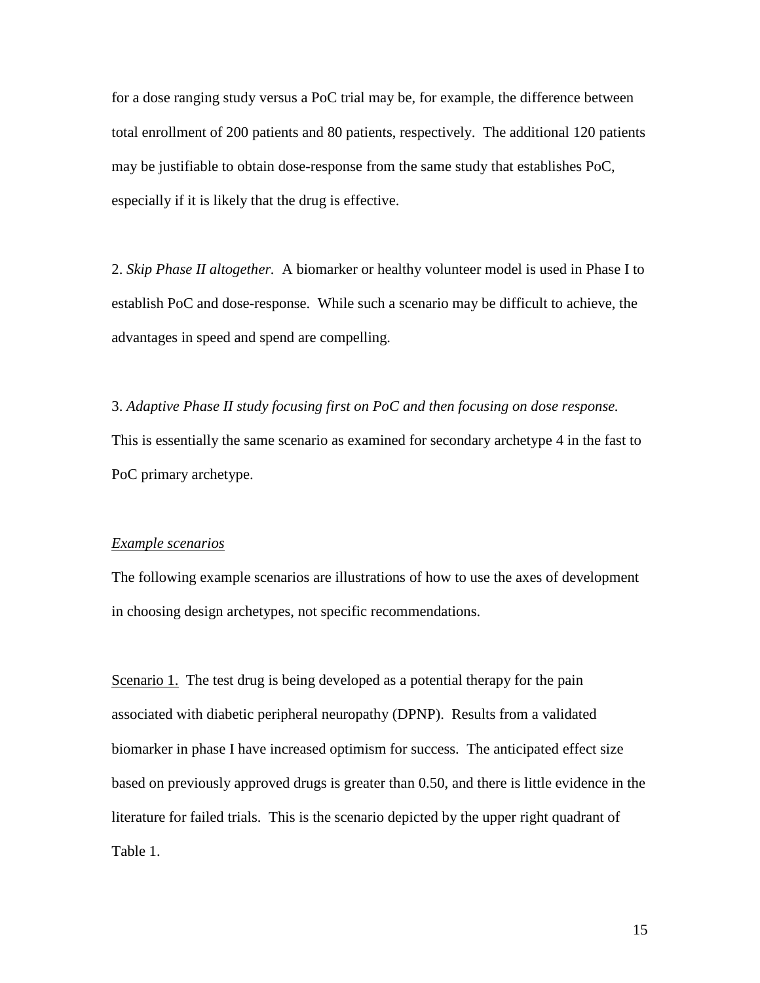for a dose ranging study versus a PoC trial may be, for example, the difference between total enrollment of 200 patients and 80 patients, respectively. The additional 120 patients may be justifiable to obtain dose-response from the same study that establishes PoC, especially if it is likely that the drug is effective.

2. *Skip Phase II altogether.* A biomarker or healthy volunteer model is used in Phase I to establish PoC and dose-response. While such a scenario may be difficult to achieve, the advantages in speed and spend are compelling.

3. *Adaptive Phase II study focusing first on PoC and then focusing on dose response.* This is essentially the same scenario as examined for secondary archetype 4 in the fast to PoC primary archetype.

#### *Example scenarios*

The following example scenarios are illustrations of how to use the axes of development in choosing design archetypes, not specific recommendations.

Scenario 1. The test drug is being developed as a potential therapy for the pain associated with diabetic peripheral neuropathy (DPNP). Results from a validated biomarker in phase I have increased optimism for success. The anticipated effect size based on previously approved drugs is greater than 0.50, and there is little evidence in the literature for failed trials. This is the scenario depicted by the upper right quadrant of Table 1.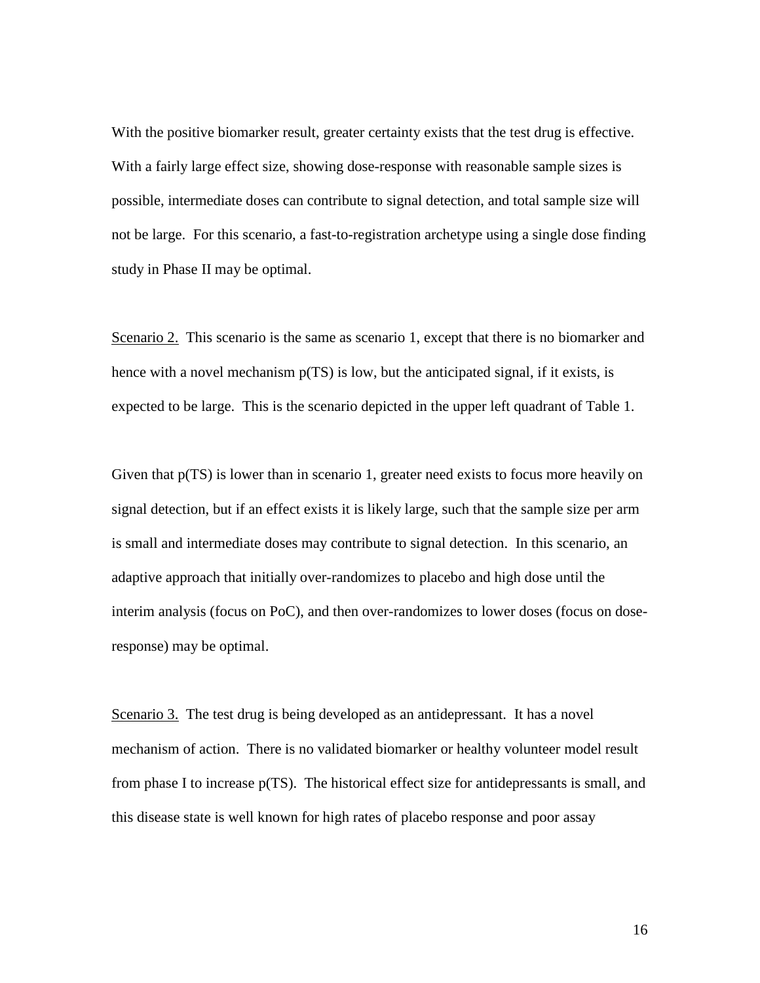With the positive biomarker result, greater certainty exists that the test drug is effective. With a fairly large effect size, showing dose-response with reasonable sample sizes is possible, intermediate doses can contribute to signal detection, and total sample size will not be large. For this scenario, a fast-to-registration archetype using a single dose finding study in Phase II may be optimal.

Scenario 2. This scenario is the same as scenario 1, except that there is no biomarker and hence with a novel mechanism  $p(TS)$  is low, but the anticipated signal, if it exists, is expected to be large. This is the scenario depicted in the upper left quadrant of Table 1.

Given that  $p(TS)$  is lower than in scenario 1, greater need exists to focus more heavily on signal detection, but if an effect exists it is likely large, such that the sample size per arm is small and intermediate doses may contribute to signal detection. In this scenario, an adaptive approach that initially over-randomizes to placebo and high dose until the interim analysis (focus on PoC), and then over-randomizes to lower doses (focus on doseresponse) may be optimal.

Scenario 3. The test drug is being developed as an antidepressant. It has a novel mechanism of action. There is no validated biomarker or healthy volunteer model result from phase I to increase p(TS). The historical effect size for antidepressants is small, and this disease state is well known for high rates of placebo response and poor assay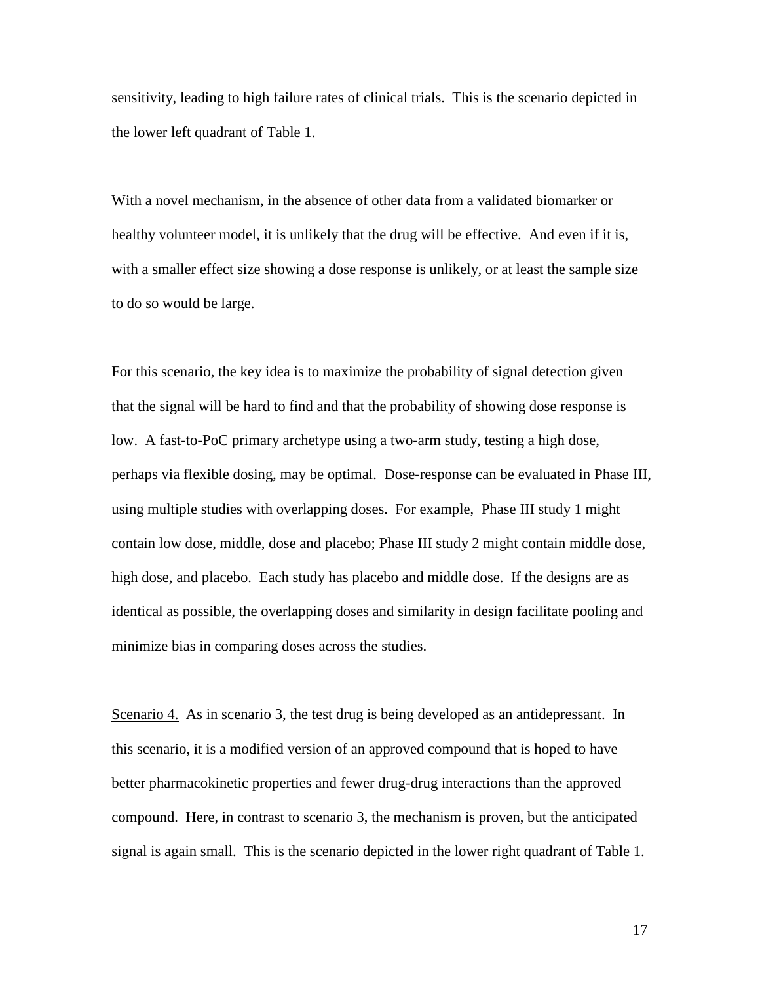sensitivity, leading to high failure rates of clinical trials. This is the scenario depicted in the lower left quadrant of Table 1.

With a novel mechanism, in the absence of other data from a validated biomarker or healthy volunteer model, it is unlikely that the drug will be effective. And even if it is, with a smaller effect size showing a dose response is unlikely, or at least the sample size to do so would be large.

For this scenario, the key idea is to maximize the probability of signal detection given that the signal will be hard to find and that the probability of showing dose response is low. A fast-to-PoC primary archetype using a two-arm study, testing a high dose, perhaps via flexible dosing, may be optimal. Dose-response can be evaluated in Phase III, using multiple studies with overlapping doses. For example, Phase III study 1 might contain low dose, middle, dose and placebo; Phase III study 2 might contain middle dose, high dose, and placebo. Each study has placebo and middle dose. If the designs are as identical as possible, the overlapping doses and similarity in design facilitate pooling and minimize bias in comparing doses across the studies.

Scenario 4. As in scenario 3, the test drug is being developed as an antidepressant. In this scenario, it is a modified version of an approved compound that is hoped to have better pharmacokinetic properties and fewer drug-drug interactions than the approved compound. Here, in contrast to scenario 3, the mechanism is proven, but the anticipated signal is again small. This is the scenario depicted in the lower right quadrant of Table 1.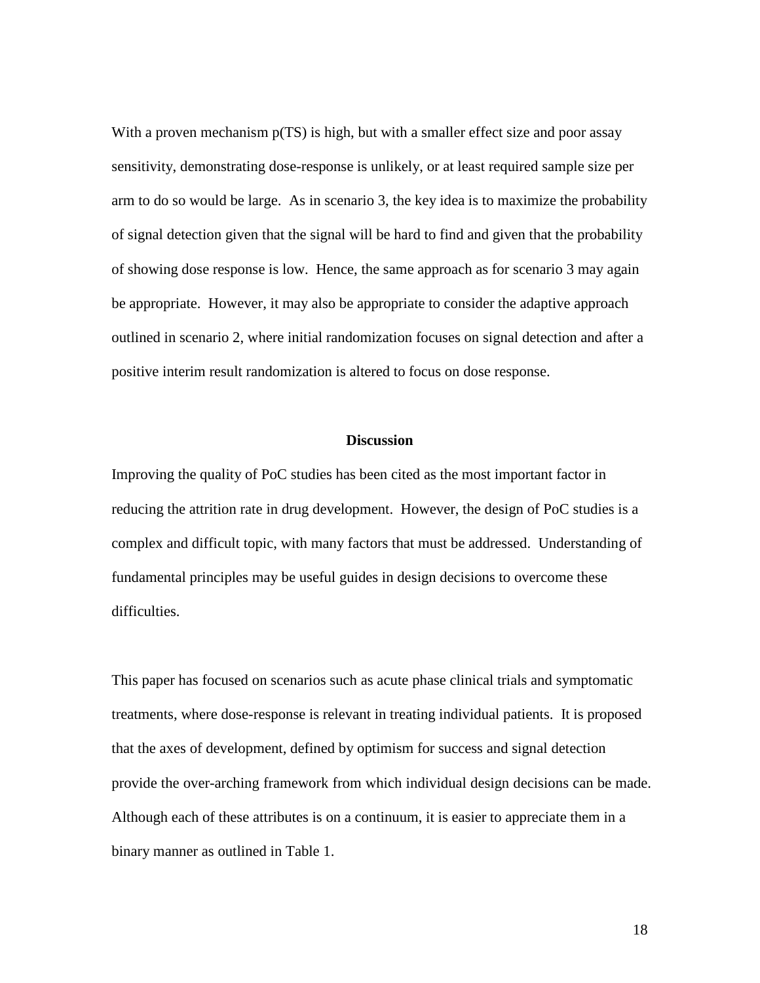With a proven mechanism  $p(TS)$  is high, but with a smaller effect size and poor assay sensitivity, demonstrating dose-response is unlikely, or at least required sample size per arm to do so would be large. As in scenario 3, the key idea is to maximize the probability of signal detection given that the signal will be hard to find and given that the probability of showing dose response is low. Hence, the same approach as for scenario 3 may again be appropriate. However, it may also be appropriate to consider the adaptive approach outlined in scenario 2, where initial randomization focuses on signal detection and after a positive interim result randomization is altered to focus on dose response.

### **Discussion**

Improving the quality of PoC studies has been cited as the most important factor in reducing the attrition rate in drug development. However, the design of PoC studies is a complex and difficult topic, with many factors that must be addressed. Understanding of fundamental principles may be useful guides in design decisions to overcome these difficulties.

This paper has focused on scenarios such as acute phase clinical trials and symptomatic treatments, where dose-response is relevant in treating individual patients. It is proposed that the axes of development, defined by optimism for success and signal detection provide the over-arching framework from which individual design decisions can be made. Although each of these attributes is on a continuum, it is easier to appreciate them in a binary manner as outlined in Table 1.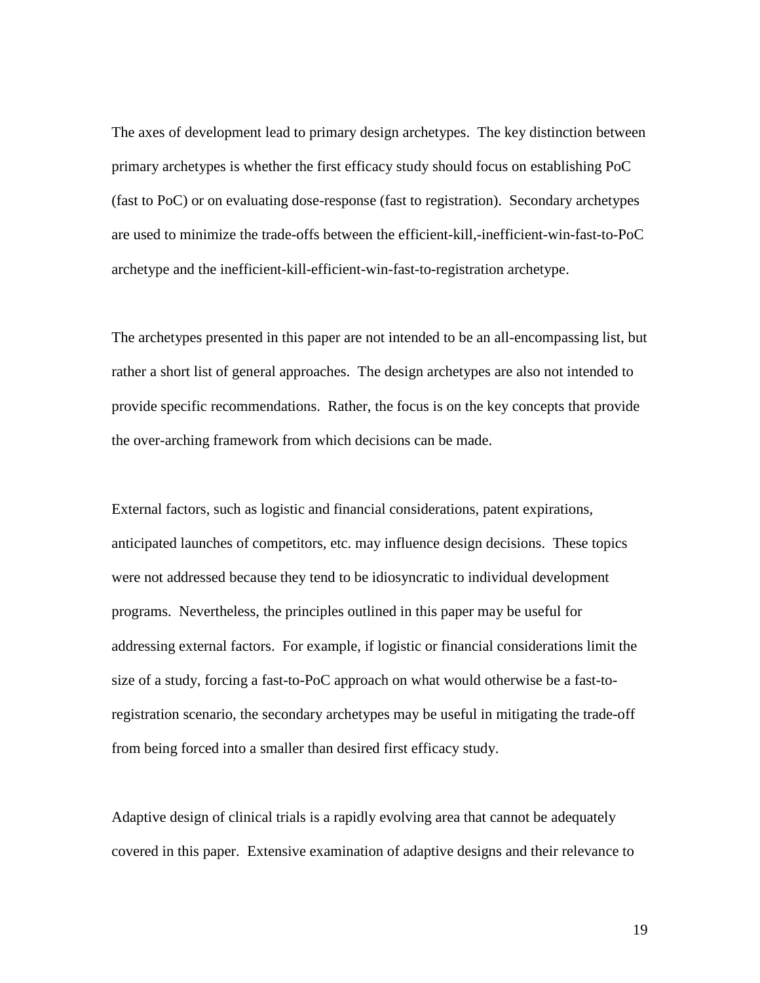The axes of development lead to primary design archetypes. The key distinction between primary archetypes is whether the first efficacy study should focus on establishing PoC (fast to PoC) or on evaluating dose-response (fast to registration). Secondary archetypes are used to minimize the trade-offs between the efficient-kill,-inefficient-win-fast-to-PoC archetype and the inefficient-kill-efficient-win-fast-to-registration archetype.

The archetypes presented in this paper are not intended to be an all-encompassing list, but rather a short list of general approaches. The design archetypes are also not intended to provide specific recommendations. Rather, the focus is on the key concepts that provide the over-arching framework from which decisions can be made.

External factors, such as logistic and financial considerations, patent expirations, anticipated launches of competitors, etc. may influence design decisions. These topics were not addressed because they tend to be idiosyncratic to individual development programs. Nevertheless, the principles outlined in this paper may be useful for addressing external factors. For example, if logistic or financial considerations limit the size of a study, forcing a fast-to-PoC approach on what would otherwise be a fast-toregistration scenario, the secondary archetypes may be useful in mitigating the trade-off from being forced into a smaller than desired first efficacy study.

Adaptive design of clinical trials is a rapidly evolving area that cannot be adequately covered in this paper. Extensive examination of adaptive designs and their relevance to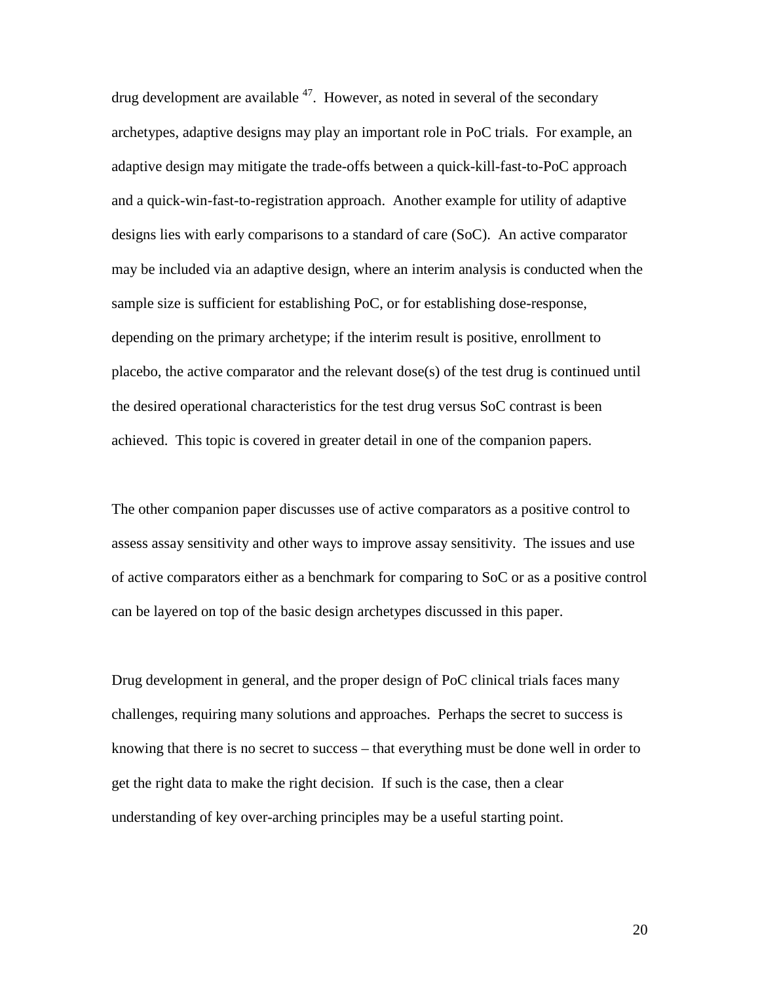drug development are available  $47$ . However, as noted in several of the secondary archetypes, adaptive designs may play an important role in PoC trials. For example, an adaptive design may mitigate the trade-offs between a quick-kill-fast-to-PoC approach and a quick-win-fast-to-registration approach. Another example for utility of adaptive designs lies with early comparisons to a standard of care (SoC). An active comparator may be included via an adaptive design, where an interim analysis is conducted when the sample size is sufficient for establishing PoC, or for establishing dose-response, depending on the primary archetype; if the interim result is positive, enrollment to placebo, the active comparator and the relevant dose(s) of the test drug is continued until the desired operational characteristics for the test drug versus SoC contrast is been achieved. This topic is covered in greater detail in one of the companion papers.

The other companion paper discusses use of active comparators as a positive control to assess assay sensitivity and other ways to improve assay sensitivity. The issues and use of active comparators either as a benchmark for comparing to SoC or as a positive control can be layered on top of the basic design archetypes discussed in this paper.

Drug development in general, and the proper design of PoC clinical trials faces many challenges, requiring many solutions and approaches. Perhaps the secret to success is knowing that there is no secret to success – that everything must be done well in order to get the right data to make the right decision. If such is the case, then a clear understanding of key over-arching principles may be a useful starting point.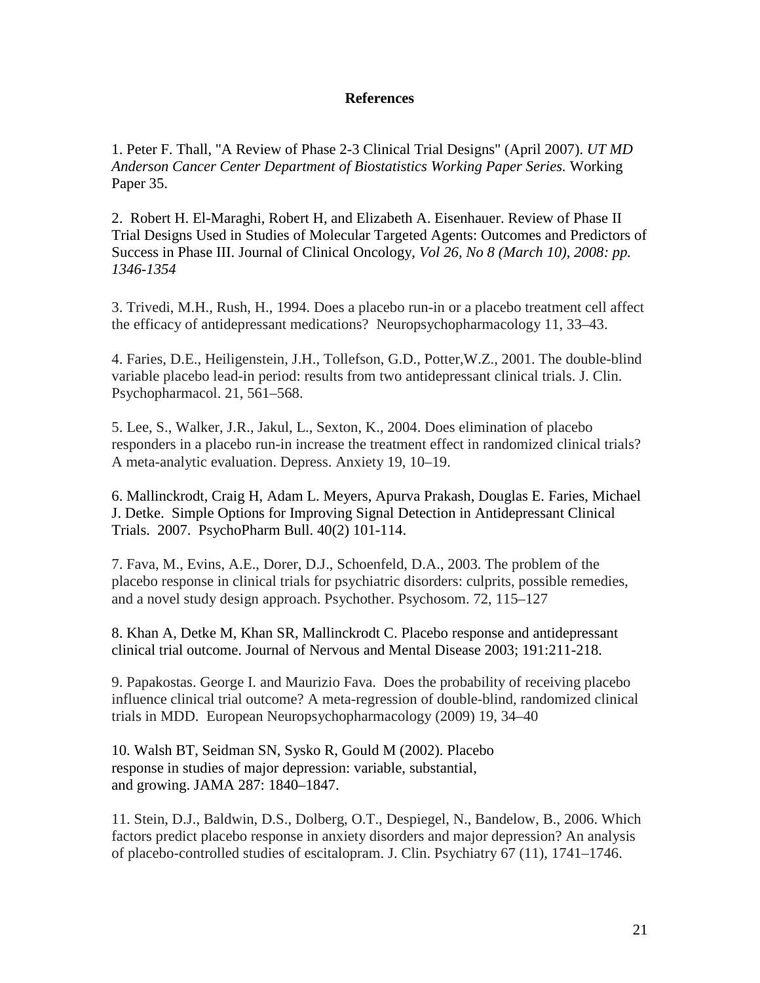## **References**

1. Peter F. Thall, "A Review of Phase 2-3 Clinical Trial Designs" (April 2007). *UT MD Anderson Cancer Center Department of Biostatistics Working Paper Series.* Working Paper 35.

2. Robert H. El-Maraghi, Robert H, and Elizabeth A. Eisenhauer. Review of Phase II Trial Designs Used in Studies of Molecular Targeted Agents: Outcomes and Predictors of Success in Phase III. Journal of Clinical Oncology*, Vol 26, No 8 (March 10), 2008: pp. 1346-1354*

3. Trivedi, M.H., Rush, H., 1994. Does a placebo run-in or a placebo treatment cell affect the efficacy of antidepressant medications? Neuropsychopharmacology 11, 33–43.

4. Faries, D.E., Heiligenstein, J.H., Tollefson, G.D., Potter,W.Z., 2001. The double-blind variable placebo lead-in period: results from two antidepressant clinical trials. J. Clin. Psychopharmacol. 21, 561–568.

5. Lee, S., Walker, J.R., Jakul, L., Sexton, K., 2004. Does elimination of placebo responders in a placebo run-in increase the treatment effect in randomized clinical trials? A meta-analytic evaluation. Depress. Anxiety 19, 10–19.

6. Mallinckrodt, Craig H, Adam L. Meyers, Apurva Prakash, Douglas E. Faries, Michael J. Detke. Simple Options for Improving Signal Detection in Antidepressant Clinical Trials. 2007. PsychoPharm Bull. 40(2) 101-114.

7. Fava, M., Evins, A.E., Dorer, D.J., Schoenfeld, D.A., 2003. The problem of the placebo response in clinical trials for psychiatric disorders: culprits, possible remedies, and a novel study design approach. Psychother. Psychosom. 72, 115–127

8. Khan A, Detke M, Khan SR, Mallinckrodt C. Placebo response and antidepressant clinical trial outcome. Journal of Nervous and Mental Disease 2003; 191:211-218.

9. Papakostas. George I. and Maurizio Fava. Does the probability of receiving placebo influence clinical trial outcome? A meta-regression of double-blind, randomized clinical trials in MDD. European Neuropsychopharmacology (2009) 19, 34–40

10. Walsh BT, Seidman SN, Sysko R, Gould M (2002). Placebo response in studies of major depression: variable, substantial, and growing. JAMA 287: 1840–1847.

11. Stein, D.J., Baldwin, D.S., Dolberg, O.T., Despiegel, N., Bandelow, B., 2006. Which factors predict placebo response in anxiety disorders and major depression? An analysis of placebo-controlled studies of escitalopram. J. Clin. Psychiatry 67 (11), 1741–1746.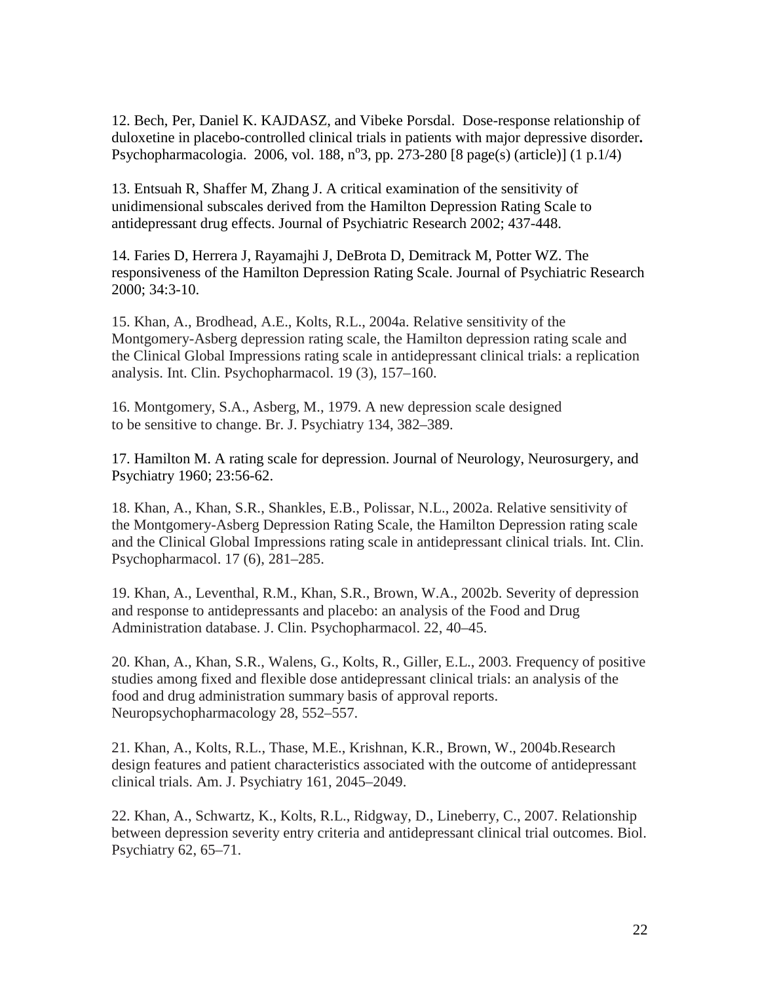12. Bech, Per, Daniel K. KAJDASZ, and Vibeke Porsdal. Dose-response relationship of duloxetine in placebo-controlled clinical trials in patients with major depressive disorder**.** Psychopharmacologia. 2006, vol. 188, n°3, pp. 273-280 [8 page(s) (article)] (1 p.1/4)

13. Entsuah R, Shaffer M, Zhang J. A critical examination of the sensitivity of unidimensional subscales derived from the Hamilton Depression Rating Scale to antidepressant drug effects. Journal of Psychiatric Research 2002; 437-448.

14. Faries D, Herrera J, Rayamajhi J, DeBrota D, Demitrack M, Potter WZ. The responsiveness of the Hamilton Depression Rating Scale. Journal of Psychiatric Research 2000; 34:3-10.

15. Khan, A., Brodhead, A.E., Kolts, R.L., 2004a. Relative sensitivity of the Montgomery-Asberg depression rating scale, the Hamilton depression rating scale and the Clinical Global Impressions rating scale in antidepressant clinical trials: a replication analysis. Int. Clin. Psychopharmacol. 19 (3), 157–160.

16. Montgomery, S.A., Asberg, M., 1979. A new depression scale designed to be sensitive to change. Br. J. Psychiatry 134, 382–389.

17. Hamilton M. A rating scale for depression. Journal of Neurology, Neurosurgery, and Psychiatry 1960; 23:56-62.

18. Khan, A., Khan, S.R., Shankles, E.B., Polissar, N.L., 2002a. Relative sensitivity of the Montgomery-Asberg Depression Rating Scale, the Hamilton Depression rating scale and the Clinical Global Impressions rating scale in antidepressant clinical trials. Int. Clin. Psychopharmacol. 17 (6), 281–285.

19. Khan, A., Leventhal, R.M., Khan, S.R., Brown, W.A., 2002b. Severity of depression and response to antidepressants and placebo: an analysis of the Food and Drug Administration database. J. Clin. Psychopharmacol. 22, 40–45.

20. Khan, A., Khan, S.R., Walens, G., Kolts, R., Giller, E.L., 2003. Frequency of positive studies among fixed and flexible dose antidepressant clinical trials: an analysis of the food and drug administration summary basis of approval reports. Neuropsychopharmacology 28, 552–557.

21. Khan, A., Kolts, R.L., Thase, M.E., Krishnan, K.R., Brown, W., 2004b.Research design features and patient characteristics associated with the outcome of antidepressant clinical trials. Am. J. Psychiatry 161, 2045–2049.

22. Khan, A., Schwartz, K., Kolts, R.L., Ridgway, D., Lineberry, C., 2007. Relationship between depression severity entry criteria and antidepressant clinical trial outcomes. Biol. Psychiatry 62, 65–71.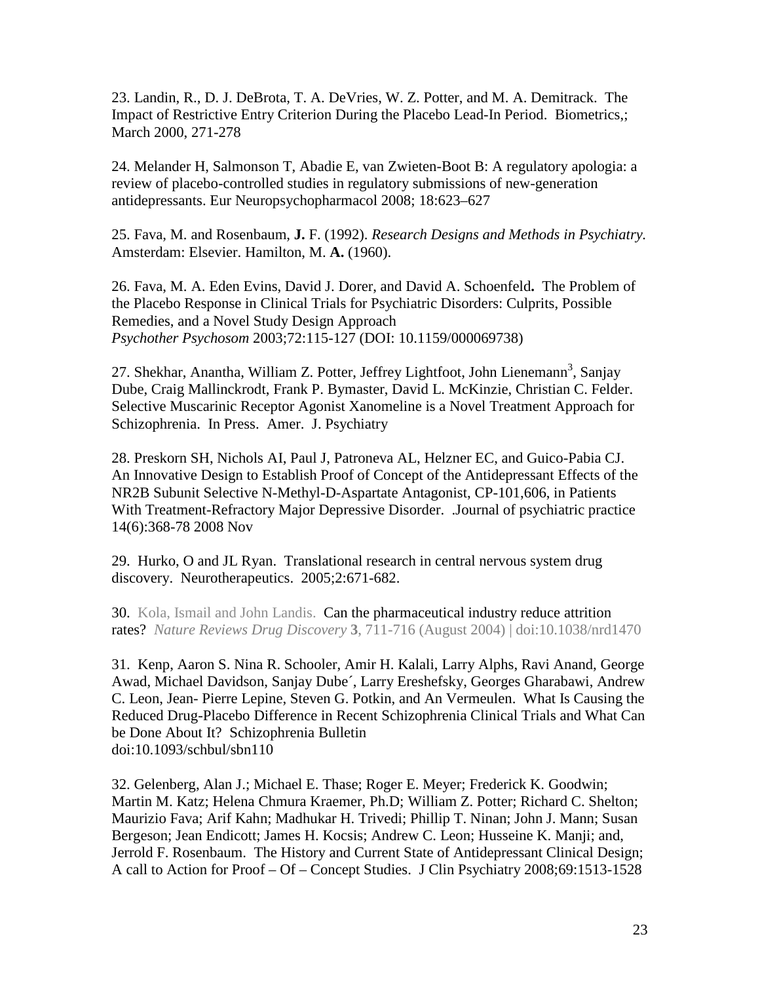23. Landin, R., D. J. DeBrota, T. A. DeVries, W. Z. Potter, and M. A. Demitrack. The Impact of Restrictive Entry Criterion During the Placebo Lead-In Period. Biometrics,; March 2000, 271-278

24. Melander H, Salmonson T, Abadie E, van Zwieten-Boot B: A regulatory apologia: a review of placebo-controlled studies in regulatory submissions of new-generation antidepressants. Eur Neuropsychopharmacol 2008; 18:623–627

25. Fava, M. and Rosenbaum, **J.** F. (1992). *Research Designs and Methods in Psychiatry.*  Amsterdam: Elsevier. Hamilton, M. **A.** (1960).

26. Fava, M. A. Eden Evins, David J. Dorer, and David A. Schoenfeld**.** The Problem of the Placebo Response in Clinical Trials for Psychiatric Disorders: Culprits, Possible Remedies, and a Novel Study Design Approach *Psychother Psychosom* 2003;72:115-127 (DOI: 10.1159/000069738)

27. Shekhar, Anantha, William Z. Potter, Jeffrey Lightfoot, John Lienemann<sup>3</sup>, Sanjay Dube, Craig Mallinckrodt, Frank P. Bymaster, David L. McKinzie, Christian C. Felder. Selective Muscarinic Receptor Agonist Xanomeline is a Novel Treatment Approach for Schizophrenia. In Press. Amer. J. Psychiatry

28. [Preskorn SH,](http://www.labmeeting.com/papers/author/preskorn-sh) [Nichols AI,](http://www.labmeeting.com/papers/author/nichols-ai) [Paul J,](http://www.labmeeting.com/papers/author/paul-j) [Patroneva AL,](http://www.labmeeting.com/papers/author/patroneva-al) [Helzner EC,](http://www.labmeeting.com/papers/author/helzner-ec) and [Guico-Pabia CJ.](http://www.labmeeting.com/papers/author/guico-pabia-cj) [An Innovative Design to Establish Proof of Concept of the Antidepressant Effects of the](http://www.labmeeting.com/paper/28508782/an-innovative-design-to-establish-proof-of-concept-of-the-antidepressant-effects-of-the-nr2b-subunit-selective-n-methyl-d-aspartate-antagonist-cp-101606-in-patients-with-treatment-refractory-major-dep)  [NR2B Subunit Selective N-Methyl-D-Aspartate Antagonist, CP-101,606, in Patients](http://www.labmeeting.com/paper/28508782/an-innovative-design-to-establish-proof-of-concept-of-the-antidepressant-effects-of-the-nr2b-subunit-selective-n-methyl-d-aspartate-antagonist-cp-101606-in-patients-with-treatment-refractory-major-dep)  [With Treatment-Refractory Major Depressive Disorder. .J](http://www.labmeeting.com/paper/28508782/an-innovative-design-to-establish-proof-of-concept-of-the-antidepressant-effects-of-the-nr2b-subunit-selective-n-methyl-d-aspartate-antagonist-cp-101606-in-patients-with-treatment-refractory-major-dep)ournal of psychiatric practice 14(6):368-78 2008 Nov

29. Hurko, O and JL Ryan. Translational research in central nervous system drug discovery. Neurotherapeutics. 2005;2:671-682.

30. Kola, Ismail and John Landis. Can the pharmaceutical industry reduce attrition rates? *Nature Reviews Drug Discovery* **3**, 711-716 (August 2004) | doi:10.1038/nrd1470

31. Kenp, Aaron S. Nina R. Schooler, Amir H. Kalali, Larry Alphs, Ravi Anand, George Awad, Michael Davidson, Sanjay Dube´, Larry Ereshefsky, Georges Gharabawi, Andrew C. Leon, Jean- Pierre Lepine, Steven G. Potkin, and An Vermeulen. What Is Causing the Reduced Drug-Placebo Difference in Recent Schizophrenia Clinical Trials and What Can be Done About It? Schizophrenia Bulletin doi:10.1093/schbul/sbn110

32. Gelenberg, Alan J.; Michael E. Thase; Roger E. Meyer; Frederick K. Goodwin; Martin M. Katz; Helena Chmura Kraemer, Ph.D; William Z. Potter; Richard C. Shelton; Maurizio Fava; Arif Kahn; Madhukar H. Trivedi; Phillip T. Ninan; John J. Mann; Susan Bergeson; Jean Endicott; James H. Kocsis; Andrew C. Leon; Husseine K. Manji; and, Jerrold F. Rosenbaum. The History and Current State of Antidepressant Clinical Design; A call to Action for Proof – Of – Concept Studies. J Clin Psychiatry 2008;69:1513-1528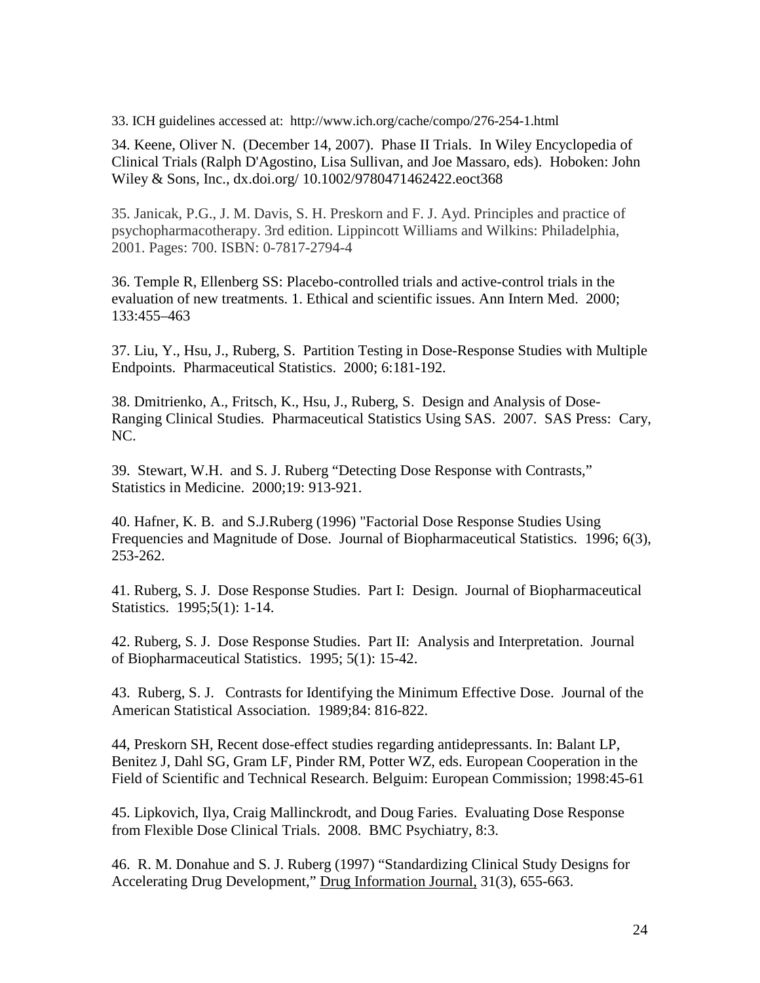33. ICH guidelines accessed at: http://www.ich.org/cache/compo/276-254-1.html

34. Keene, Oliver N. (December 14, 2007). Phase II Trials. In Wiley Encyclopedia of Clinical Trials (Ralph D'Agostino, Lisa Sullivan, and Joe Massaro, eds). Hoboken: John Wiley & Sons, Inc., dx.doi.org/ 10.1002/9780471462422.eoct368

35. Janicak, P.G., J. M. Davis, S. H. Preskorn and F. J. Ayd. Principles and practice of psychopharmacotherapy. 3rd edition. Lippincott Williams and Wilkins: Philadelphia, 2001. Pages: 700. ISBN: 0-7817-2794-4

36. Temple R, Ellenberg SS: Placebo-controlled trials and active-control trials in the evaluation of new treatments. 1. Ethical and scientific issues. Ann Intern Med. 2000; 133:455–463

37. Liu, Y., Hsu, J., Ruberg, S. Partition Testing in Dose-Response Studies with Multiple Endpoints. Pharmaceutical Statistics. 2000; 6:181-192.

38. Dmitrienko, A., Fritsch, K., Hsu, J., Ruberg, S. Design and Analysis of Dose-Ranging Clinical Studies. Pharmaceutical Statistics Using SAS. 2007. SAS Press: Cary, NC.

39. Stewart, W.H. and S. J. Ruberg "Detecting Dose Response with Contrasts," Statistics in Medicine. 2000;19: 913-921.

40. Hafner, K. B. and S.J.Ruberg (1996) "Factorial Dose Response Studies Using Frequencies and Magnitude of Dose. Journal of Biopharmaceutical Statistics. 1996; 6(3), 253-262.

41. Ruberg, S. J. Dose Response Studies. Part I: Design. Journal of Biopharmaceutical Statistics. 1995;5(1): 1-14.

42. Ruberg, S. J. Dose Response Studies. Part II: Analysis and Interpretation. Journal of Biopharmaceutical Statistics. 1995; 5(1): 15-42.

43. Ruberg, S. J. Contrasts for Identifying the Minimum Effective Dose. Journal of the American Statistical Association. 1989;84: 816-822.

44, Preskorn SH, Recent dose-effect studies regarding antidepressants. In: Balant LP, Benitez J, Dahl SG, Gram LF, Pinder RM, Potter WZ, eds. European Cooperation in the Field of Scientific and Technical Research. Belguim: European Commission; 1998:45-61

45. Lipkovich, Ilya, Craig Mallinckrodt, and Doug Faries. Evaluating Dose Response from Flexible Dose Clinical Trials. 2008. BMC Psychiatry, 8:3.

46. R. M. Donahue and S. J. Ruberg (1997) "Standardizing Clinical Study Designs for Accelerating Drug Development," Drug Information Journal, 31(3), 655-663.